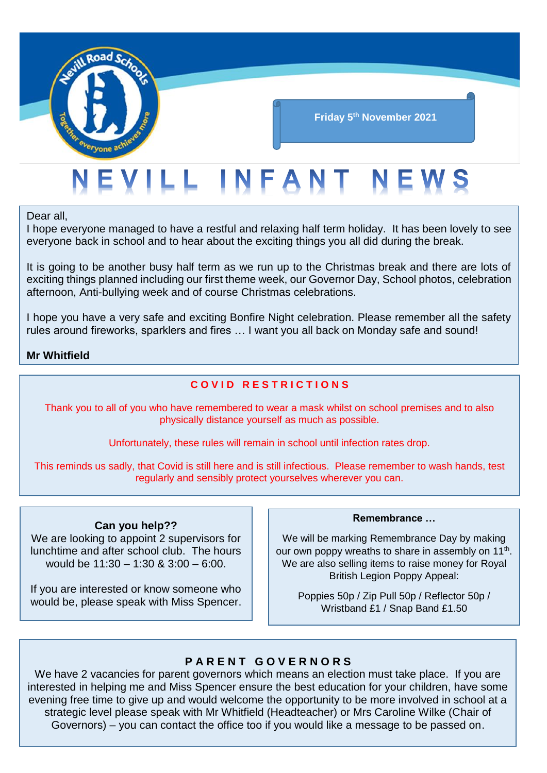

# EVILL INFANT NEWS

Dear all,

I hope everyone managed to have a restful and relaxing half term holiday. It has been lovely to see everyone back in school and to hear about the exciting things you all did during the break.

It is going to be another busy half term as we run up to the Christmas break and there are lots of exciting things planned including our first theme week, our Governor Day, School photos, celebration afternoon, Anti-bullying week and of course Christmas celebrations.

I hope you have a very safe and exciting Bonfire Night celebration. Please remember all the safety rules around fireworks, sparklers and fires … I want you all back on Monday safe and sound!

#### **Mr Whitfield**

#### **C O V I D R E S T R I C T I O N S**

Thank you to all of you who have remembered to wear a mask whilst on school premises and to also physically distance yourself as much as possible.

Unfortunately, these rules will remain in school until infection rates drop.

This reminds us sadly, that Covid is still here and is still infectious. Please remember to wash hands, test regularly and sensibly protect yourselves wherever you can.

#### **Can you help??**

We are looking to appoint 2 supervisors for lunchtime and after school club. The hours would be 11:30 – 1:30 & 3:00 – 6:00.

If you are interested or know someone who would be, please speak with Miss Spencer.

#### **Remembrance …**

We will be marking Remembrance Day by making our own poppy wreaths to share in assembly on  $11<sup>th</sup>$ . We are also selling items to raise money for Royal British Legion Poppy Appeal:

Poppies 50p / Zip Pull 50p / Reflector 50p / Wristband £1 / Snap Band £1.50

#### **P A R E N T G O V E R N O R S**

We have 2 vacancies for parent governors which means an election must take place. If you are interested in helping me and Miss Spencer ensure the best education for your children, have some evening free time to give up and would welcome the opportunity to be more involved in school at a strategic level please speak with Mr Whitfield (Headteacher) or Mrs Caroline Wilke (Chair of Governors) – you can contact the office too if you would like a message to be passed on.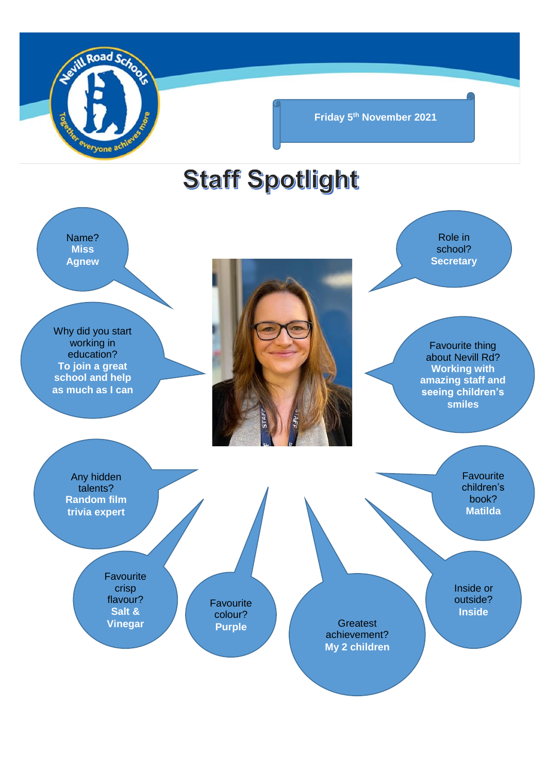

**Friday 5th November 2021**

## **Staff Spotlight**

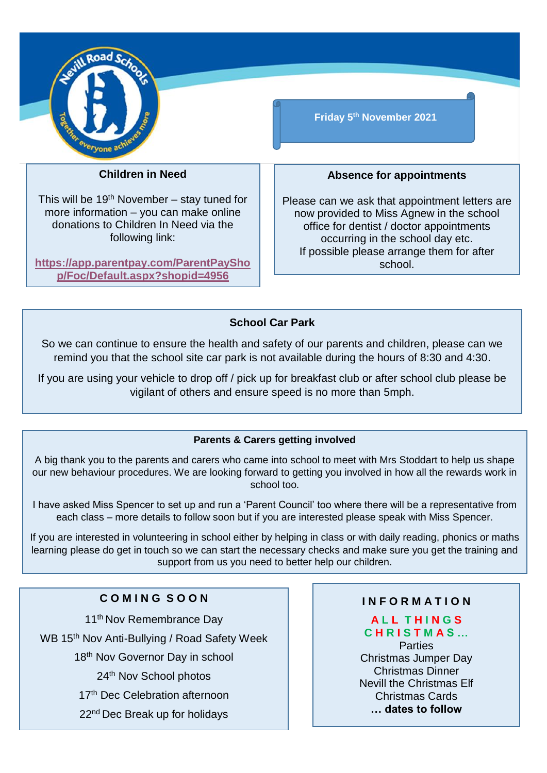

#### **Children in Need**

This will be 19<sup>th</sup> November – stay tuned for more information – you can make online donations to Children In Need via the following link:

**[https://app.parentpay.com/ParentPaySho](https://app.parentpay.com/ParentPayShop/Foc/Default.aspx?shopid=4956) [p/Foc/Default.aspx?shopid=4956](https://app.parentpay.com/ParentPayShop/Foc/Default.aspx?shopid=4956)**

**Friday 5th November 2021**

#### **Absence for appointments**

Please can we ask that appointment letters are now provided to Miss Agnew in the school office for dentist / doctor appointments occurring in the school day etc. If possible please arrange them for after school.

#### **School Car Park**

So we can continue to ensure the health and safety of our parents and children, please can we remind you that the school site car park is not available during the hours of 8:30 and 4:30.

If you are using your vehicle to drop off / pick up for breakfast club or after school club please be vigilant of others and ensure speed is no more than 5mph.

#### **Parents & Carers getting involved**

A big thank you to the parents and carers who came into school to meet with Mrs Stoddart to help us shape our new behaviour procedures. We are looking forward to getting you involved in how all the rewards work in school too.

I have asked Miss Spencer to set up and run a 'Parent Council' too where there will be a representative from each class – more details to follow soon but if you are interested please speak with Miss Spencer.

If you are interested in volunteering in school either by helping in class or with daily reading, phonics or maths learning please do get in touch so we can start the necessary checks and make sure you get the training and support from us you need to better help our children.

#### **C O M I N G S O O N**

11<sup>th</sup> Nov Remembrance Dav WB 15<sup>th</sup> Nov Anti-Bullying / Road Safety Week 18<sup>th</sup> Nov Governor Day in school 24th Nov School photos 17<sup>th</sup> Dec Celebration afternoon 22<sup>nd</sup> Dec Break up for holidays

#### **I N F O R M A T I O N**

#### **A L L T H I N G S C H R I S T M A S …** Parties Christmas Jumper Day Christmas Dinner Nevill the Christmas Elf Christmas Cards

**… dates to follow**